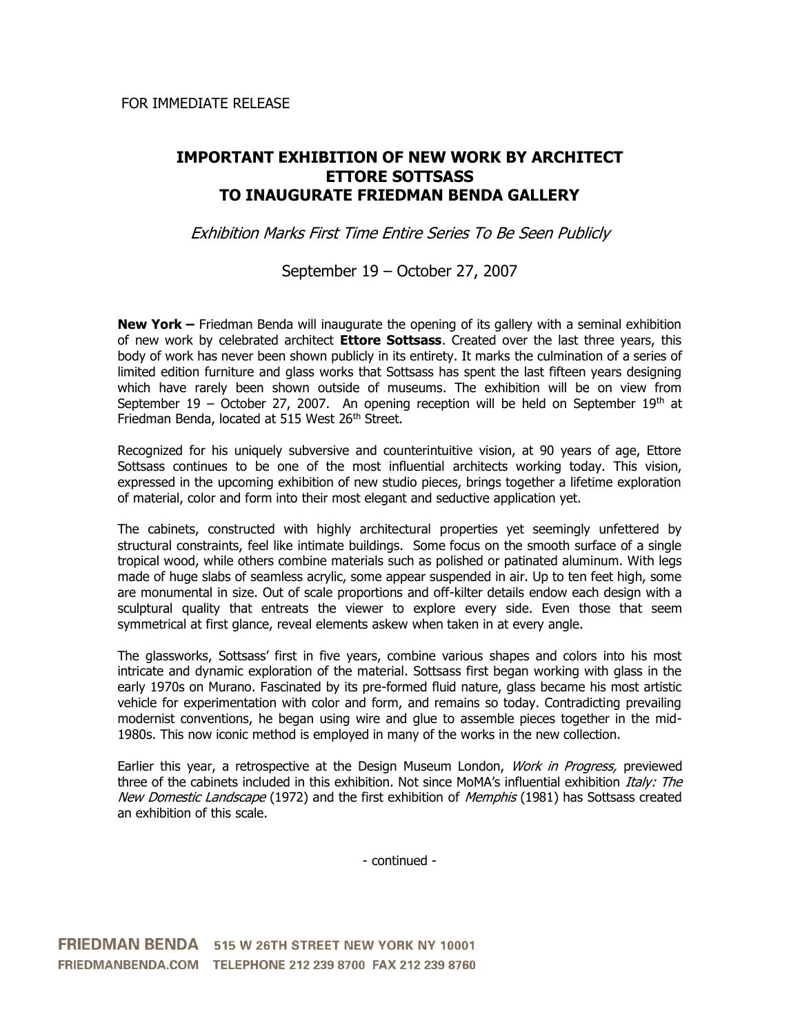## **IMPORTANT EXHIBITION OF NEW WORK BY ARCHITECT ETTORE SOTTSASS TO INAUGURATE FRIEDMAN BENDA GALLERY**

Exhibition Marks First Time Entire Series To Be Seen Publicly

## September 19 – October 27, 2007

**New York –** Friedman Benda will inaugurate the opening of its gallery with a seminal exhibition of new work by celebrated architect **Ettore Sottsass**. Created over the last three years, this body of work has never been shown publicly in its entirety. It marks the culmination of a series of limited edition furniture and glass works that Sottsass has spent the last fifteen years designing which have rarely been shown outside of museums. The exhibition will be on view from September 19 – October 27, 2007. An opening reception will be held on September  $19<sup>th</sup>$  at Friedman Benda, located at 515 West 26<sup>th</sup> Street.

Recognized for his uniquely subversive and counterintuitive vision, at 90 years of age, Ettore Sottsass continues to be one of the most influential architects working today. This vision, expressed in the upcoming exhibition of new studio pieces, brings together a lifetime exploration of material, color and form into their most elegant and seductive application yet.

The cabinets, constructed with highly architectural properties yet seemingly unfettered by structural constraints, feel like intimate buildings. Some focus on the smooth surface of a single tropical wood, while others combine materials such as polished or patinated aluminum. With legs made of huge slabs of seamless acrylic, some appear suspended in air. Up to ten feet high, some are monumental in size. Out of scale proportions and off-kilter details endow each design with a sculptural quality that entreats the viewer to explore every side. Even those that seem symmetrical at first glance, reveal elements askew when taken in at every angle.

The glassworks, Sottsass' first in five years, combine various shapes and colors into his most intricate and dynamic exploration of the material. Sottsass first began working with glass in the early 1970s on Murano. Fascinated by its pre-formed fluid nature, glass became his most artistic vehicle for experimentation with color and form, and remains so today. Contradicting prevailing modernist conventions, he began using wire and glue to assemble pieces together in the mid-1980s. This now iconic method is employed in many of the works in the new collection.

Earlier this year, a retrospective at the Design Museum London, Work in Progress, previewed three of the cabinets included in this exhibition. Not since MoMA's influential exhibition *Italy: The* New Domestic Landscape (1972) and the first exhibition of Memphis (1981) has Sottsass created an exhibition of this scale.

- continued -